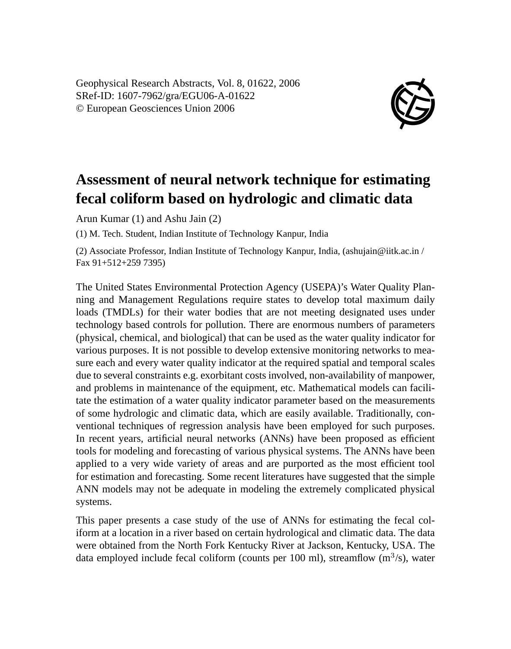Geophysical Research Abstracts, Vol. 8, 01622, 2006 SRef-ID: 1607-7962/gra/EGU06-A-01622 © European Geosciences Union 2006



## **Assessment of neural network technique for estimating fecal coliform based on hydrologic and climatic data**

Arun Kumar (1) and Ashu Jain (2)

(1) M. Tech. Student, Indian Institute of Technology Kanpur, India

(2) Associate Professor, Indian Institute of Technology Kanpur, India, (ashujain@iitk.ac.in / Fax 91+512+259 7395)

The United States Environmental Protection Agency (USEPA)'s Water Quality Planning and Management Regulations require states to develop total maximum daily loads (TMDLs) for their water bodies that are not meeting designated uses under technology based controls for pollution. There are enormous numbers of parameters (physical, chemical, and biological) that can be used as the water quality indicator for various purposes. It is not possible to develop extensive monitoring networks to measure each and every water quality indicator at the required spatial and temporal scales due to several constraints e.g. exorbitant costs involved, non-availability of manpower, and problems in maintenance of the equipment, etc. Mathematical models can facilitate the estimation of a water quality indicator parameter based on the measurements of some hydrologic and climatic data, which are easily available. Traditionally, conventional techniques of regression analysis have been employed for such purposes. In recent years, artificial neural networks (ANNs) have been proposed as efficient tools for modeling and forecasting of various physical systems. The ANNs have been applied to a very wide variety of areas and are purported as the most efficient tool for estimation and forecasting. Some recent literatures have suggested that the simple ANN models may not be adequate in modeling the extremely complicated physical systems.

This paper presents a case study of the use of ANNs for estimating the fecal coliform at a location in a river based on certain hydrological and climatic data. The data were obtained from the North Fork Kentucky River at Jackson, Kentucky, USA. The data employed include fecal coliform (counts per 100 ml), streamflow  $(m^3/s)$ , water